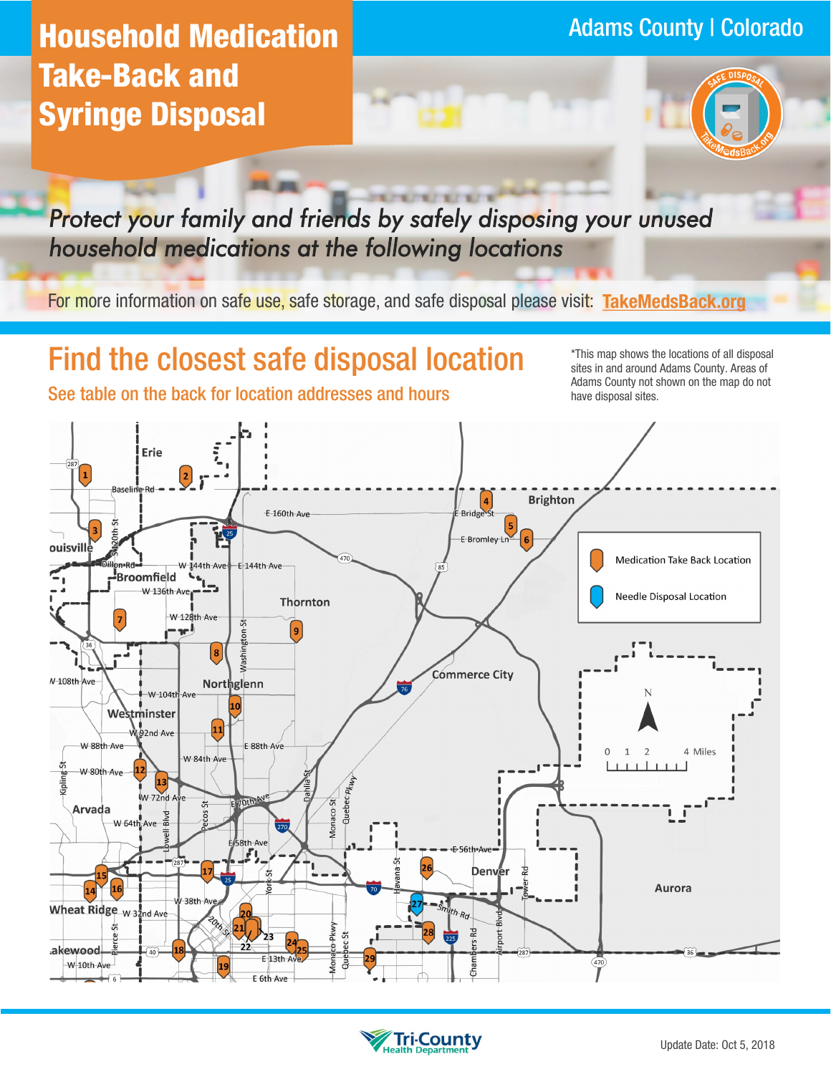## Adams County | Colorado **Household Medication Take-Back and Syringe Disposal**



*Protect your family and friends by safely disposing your unused household medications at the following locations* 

For more information on safe use, safe storage, and safe disposal please visit: **[TakeMedsBack.org](http://www.takemedsback.org)**

# **Find the closest safe disposal location in the locations of all disposal**

sites in and around Adams County. Areas of Adams County not shown on the map do not See table on the back for location addresses and hours have disposal sites.